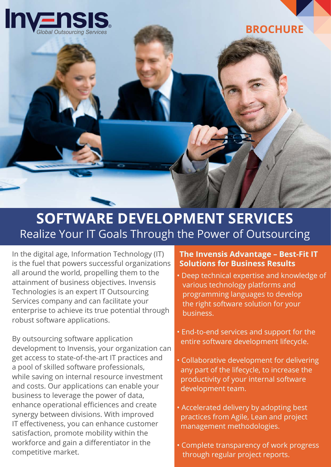

# **SOFTWARE DEVELOPMENT SERVICES**  Realize Your IT Goals Through the Power of Outsourcing

In the digital age, Information Technology (IT) is the fuel that powers successful organizations all around the world, propelling them to the attainment of business objectives. Invensis Technologies is an expert IT Outsourcing Services company and can facilitate your enterprise to achieve its true potential through robust software applications.

By outsourcing software application development to Invensis, your organization can get access to state-of-the-art IT practices and a pool of skilled software professionals, while saving on internal resource investment and costs. Our applications can enable your business to leverage the power of data, enhance operational efficiences and create synergy between divisions. With improved IT effectiveness, you can enhance customer satisfaction, promote mobility within the workforce and gain a differentiator in the competitive market.

### **The Invensis Advantage – Best-Fit IT Solutions for Business Results**

- Deep technical expertise and knowledge of various technology platforms and programming languages to develop the right software solution for your business.
- End-to-end services and support for the entire software development lifecycle.
- Collaborative development for delivering any part of the lifecycle, to increase the productivity of your internal software development team.
- Accelerated delivery by adopting best practices from Agile, Lean and project management methodologies.
- Complete transparency of work progress through regular project reports.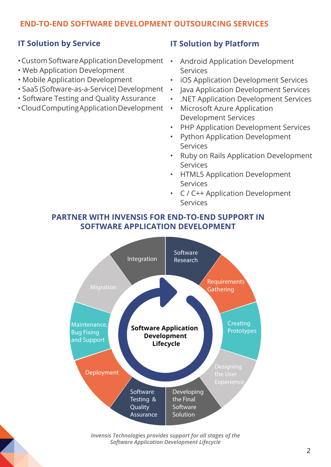## **END-TO-END SOFTWARE DEVELOPMENT OUTSOURCING SERVICES**

## **IT Solution by Service**

- Custom Software Application Development
- Web Application Development
- Mobile Application Development
- SaaS (Software-as-a-Service) Development
- Software Testing and Quality Assurance
- Cloud Computing Application Development

#### **IT Solution by Platform**

- Android Application Development Services
- iOS Application Development Services
- Java Application Development Services
- .NET Application Development Services
- Microsoft Azure Application Development Services
- PHP Application Development Services
- Python Application Development Services
- Ruby on Rails Application Development Services
- HTML5 Application Development Services
- C / C++ Application Development Services

#### **PARTNER WITH INVENSIS FOR END-TO-END SUPPORT IN SOFTWARE APPLICATION DEVELOPMENT**



*Invensis Technologies provides support for all stages of the Software Application Development Lifecycle*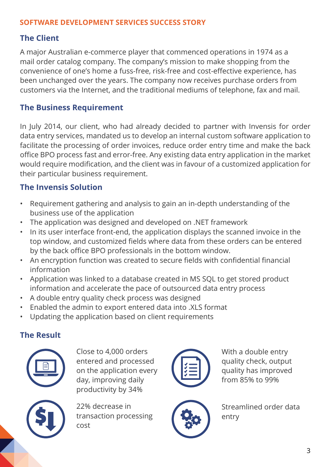## **SOFTWARE DEVELOPMENT SERVICES SUCCESS STORY**

## **The Client**

A major Australian e-commerce player that commenced operations in 1974 as a mail order catalog company. The company's mission to make shopping from the convenience of one's home a fuss-free, risk-free and cost-effective experience, has been unchanged over the years. The company now receives purchase orders from customers via the Internet, and the traditional mediums of telephone, fax and mail.

## **The Business Requirement**

In July 2014, our client, who had already decided to partner with Invensis for order data entry services, mandated us to develop an internal custom software application to facilitate the processing of order invoices, reduce order entry time and make the back office BPO process fast and error-free. Any existing data entry application in the market would require modification, and the client was in favour of a customized application for their particular business requirement.

## **The Invensis Solution**

- Requirement gathering and analysis to gain an in-depth understanding of the business use of the application
- The application was designed and developed on .NET framework
- In its user interface front-end, the application displays the scanned invoice in the top window, and customized fields where data from these orders can be entered by the back office BPO professionals in the bottom window.
- An encryption function was created to secure fields with confidential financial information
- Application was linked to a database created in MS SQL to get stored product information and accelerate the pace of outsourced data entry process
- A double entry quality check process was designed
- Enabled the admin to export entered data into .XLS format
- Updating the application based on client requirements

## **The Result**



Close to 4,000 orders entered and processed on the application every day, improving daily productivity by 34%



22% decrease in transaction processing cost



With a double entry quality check, output quality has improved from 85% to 99%



Streamlined order data entry